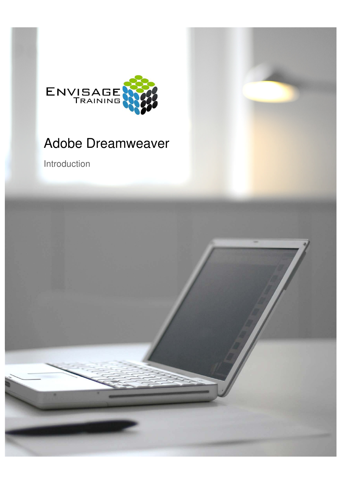

# Adobe Dreamweaver

Introduction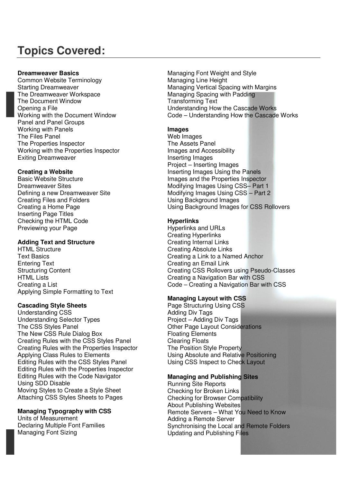# **Topics Covered:**

#### **Dreamweaver Basics**

Common Website Terminology Starting Dreamweaver The Dreamweaver Workspace The Document Window Opening a File Working with the Document Window Panel and Panel Groups Working with Panels The Files Panel The Properties Inspector Working with the Properties Inspector Exiting Dreamweaver

# **Creating a Website**

Basic Website Structure Dreamweaver Sites Defining a new Dreamweaver Site Creating Files and Folders Creating a Home Page Inserting Page Titles Checking the HTML Code Previewing your Page

# **Adding Text and Structure**

HTML Structure Text Basics Entering Text Structuring Content HTML Lists Creating a List Applying Simple Formatting to Text

# **Cascading Style Sheets**

Understanding CSS Understanding Selector Types The CSS Styles Panel The New CSS Rule Dialog Box Creating Rules with the CSS Styles Panel Creating Rules with the Properties Inspector Applying Class Rules to Elements Editing Rules with the CSS Styles Panel Editing Rules with the Properties Inspector Editing Rules with the Code Navigator Using SDD Disable Moving Styles to Create a Style Sheet Attaching CSS Styles Sheets to Pages

# **Managing Typography with CSS**

Units of Measurement Declaring Multiple Font Families Managing Font Sizing

Managing Font Weight and Style Managing Line Height Managing Vertical Spacing with Margins Managing Spacing with Padding Transforming Text Understanding How the Cascade Works Code – Understanding How the Cascade Works

# **Images**

Web Images The Assets Panel Images and Accessibility Inserting Images Project – Inserting Images Inserting Images Using the Panels Images and the Properties Inspector Modifying Images Using CSS– Part 1 Modifying Images Using CSS – Part 2 Using Background Images Using Background Images for CSS Rollovers

# **Hyperlinks**

Hyperlinks and URLs Creating Hyperlinks Creating Internal Links Creating Absolute Links Creating a Link to a Named Anchor Creating an Email Link Creating CSS Rollovers using Pseudo-Classes Creating a Navigation Bar with CSS Code – Creating a Navigation Bar with CSS

# **Managing Layout with CSS**

Page Structuring Using CSS Adding Div Tags Project – Adding Div Tags Other Page Layout Considerations Floating Elements Clearing Floats The Position Style Property Using Absolute and Relative Positioning Using CSS Inspect to Check Layout

# **Managing and Publishing Sites**

Running Site Reports Checking for Broken Links Checking for Browser Compatibility About Publishing Websites Remote Servers – What You Need to Know Adding a Remote Server Synchronising the Local and Remote Folders Updating and Publishing Files